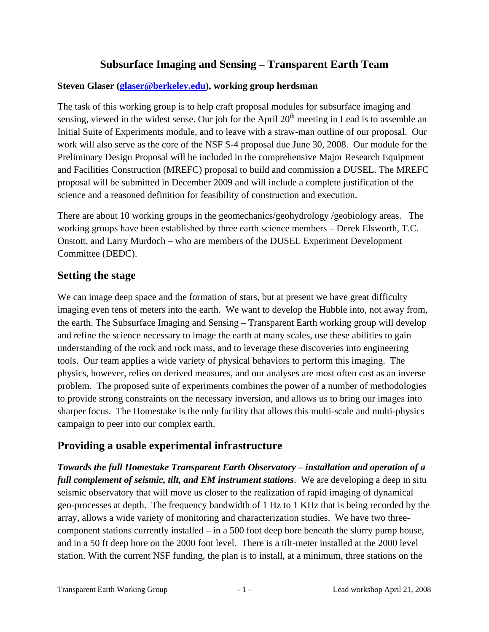## **Subsurface Imaging and Sensing – Transparent Earth Team**

#### **Steven Glaser (glaser@berkeley.edu), working group herdsman**

The task of this working group is to help craft proposal modules for subsurface imaging and sensing, viewed in the widest sense. Our job for the April  $20<sup>th</sup>$  meeting in Lead is to assemble an Initial Suite of Experiments module, and to leave with a straw-man outline of our proposal. Our work will also serve as the core of the NSF S-4 proposal due June 30, 2008. Our module for the Preliminary Design Proposal will be included in the comprehensive Major Research Equipment and Facilities Construction (MREFC) proposal to build and commission a DUSEL. The MREFC proposal will be submitted in December 2009 and will include a complete justification of the science and a reasoned definition for feasibility of construction and execution.

There are about 10 working groups in the geomechanics/geohydrology /geobiology areas. The working groups have been established by three earth science members – Derek Elsworth, T.C. Onstott, and Larry Murdoch – who are members of the DUSEL Experiment Development Committee (DEDC).

## **Setting the stage**

We can image deep space and the formation of stars, but at present we have great difficulty imaging even tens of meters into the earth. We want to develop the Hubble into, not away from, the earth. The Subsurface Imaging and Sensing – Transparent Earth working group will develop and refine the science necessary to image the earth at many scales, use these abilities to gain understanding of the rock and rock mass, and to leverage these discoveries into engineering tools. Our team applies a wide variety of physical behaviors to perform this imaging. The physics, however, relies on derived measures, and our analyses are most often cast as an inverse problem. The proposed suite of experiments combines the power of a number of methodologies to provide strong constraints on the necessary inversion, and allows us to bring our images into sharper focus. The Homestake is the only facility that allows this multi-scale and multi-physics campaign to peer into our complex earth.

## **Providing a usable experimental infrastructure**

*Towards the full Homestake Transparent Earth Observatory – installation and operation of a full complement of seismic, tilt, and EM instrument stations*. We are developing a deep in situ seismic observatory that will move us closer to the realization of rapid imaging of dynamical geo-processes at depth. The frequency bandwidth of 1 Hz to 1 KHz that is being recorded by the array, allows a wide variety of monitoring and characterization studies. We have two threecomponent stations currently installed – in a 500 foot deep bore beneath the slurry pump house, and in a 50 ft deep bore on the 2000 foot level. There is a tilt-meter installed at the 2000 level station. With the current NSF funding, the plan is to install, at a minimum, three stations on the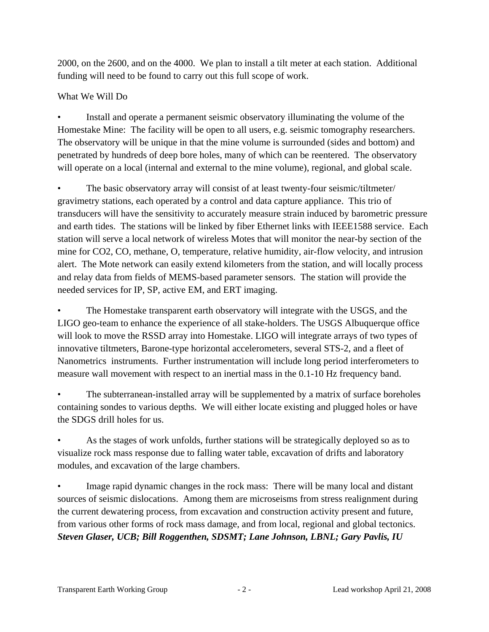2000, on the 2600, and on the 4000. We plan to install a tilt meter at each station. Additional funding will need to be found to carry out this full scope of work.

#### What We Will Do

• Install and operate a permanent seismic observatory illuminating the volume of the Homestake Mine: The facility will be open to all users, e.g. seismic tomography researchers. The observatory will be unique in that the mine volume is surrounded (sides and bottom) and penetrated by hundreds of deep bore holes, many of which can be reentered. The observatory will operate on a local (internal and external to the mine volume), regional, and global scale.

• The basic observatory array will consist of at least twenty-four seismic/tiltmeter/ gravimetry stations, each operated by a control and data capture appliance. This trio of transducers will have the sensitivity to accurately measure strain induced by barometric pressure and earth tides. The stations will be linked by fiber Ethernet links with IEEE1588 service. Each station will serve a local network of wireless Motes that will monitor the near-by section of the mine for CO2, CO, methane, O, temperature, relative humidity, air-flow velocity, and intrusion alert. The Mote network can easily extend kilometers from the station, and will locally process and relay data from fields of MEMS-based parameter sensors. The station will provide the needed services for IP, SP, active EM, and ERT imaging.

The Homestake transparent earth observatory will integrate with the USGS, and the LIGO geo-team to enhance the experience of all stake-holders. The USGS Albuquerque office will look to move the RSSD array into Homestake. LIGO will integrate arrays of two types of innovative tiltmeters, Barone-type horizontal accelerometers, several STS-2, and a fleet of Nanometrics instruments. Further instrumentation will include long period interferometers to measure wall movement with respect to an inertial mass in the 0.1-10 Hz frequency band.

The subterranean-installed array will be supplemented by a matrix of surface boreholes containing sondes to various depths. We will either locate existing and plugged holes or have the SDGS drill holes for us.

• As the stages of work unfolds, further stations will be strategically deployed so as to visualize rock mass response due to falling water table, excavation of drifts and laboratory modules, and excavation of the large chambers.

Image rapid dynamic changes in the rock mass: There will be many local and distant sources of seismic dislocations. Among them are microseisms from stress realignment during the current dewatering process, from excavation and construction activity present and future, from various other forms of rock mass damage, and from local, regional and global tectonics. *Steven Glaser, UCB; Bill Roggenthen, SDSMT; Lane Johnson, LBNL; Gary Pavlis, IU*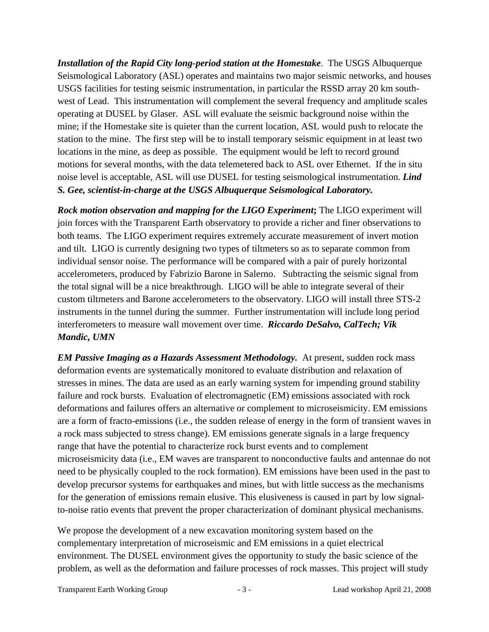*Installation of the Rapid City long-period station at the Homestake*. The USGS Albuquerque Seismological Laboratory (ASL) operates and maintains two major seismic networks, and houses USGS facilities for testing seismic instrumentation, in particular the RSSD array 20 km southwest of Lead. This instrumentation will complement the several frequency and amplitude scales operating at DUSEL by Glaser. ASL will evaluate the seismic background noise within the mine; if the Homestake site is quieter than the current location, ASL would push to relocate the station to the mine. The first step will be to install temporary seismic equipment in at least two locations in the mine, as deep as possible. The equipment would be left to record ground motions for several months, with the data telemetered back to ASL over Ethernet. If the in situ noise level is acceptable, ASL will use DUSEL for testing seismological instrumentation. *Lind S. Gee, scientist-in-charge at the USGS Albuquerque Seismological Laboratory.*

*Rock motion observation and mapping for the LIGO Experiment***;** The LIGO experiment will join forces with the Transparent Earth observatory to provide a richer and finer observations to both teams. The LIGO experiment requires extremely accurate measurement of invert motion and tilt. LIGO is currently designing two types of tiltmeters so as to separate common from individual sensor noise. The performance will be compared with a pair of purely horizontal accelerometers, produced by Fabrizio Barone in Salerno. Subtracting the seismic signal from the total signal will be a nice breakthrough. LIGO will be able to integrate several of their custom tiltmeters and Barone accelerometers to the observatory. LIGO will install three STS-2 instruments in the tunnel during the summer. Further instrumentation will include long period interferometers to measure wall movement over time. *Riccardo DeSalvo, CalTech; Vik Mandic, UMN* 

*EM Passive Imaging as a Hazards Assessment Methodology.* At present, sudden rock mass deformation events are systematically monitored to evaluate distribution and relaxation of stresses in mines. The data are used as an early warning system for impending ground stability failure and rock bursts. Evaluation of electromagnetic (EM) emissions associated with rock deformations and failures offers an alternative or complement to microseismicity. EM emissions are a form of fracto-emissions (i.e., the sudden release of energy in the form of transient waves in a rock mass subjected to stress change). EM emissions generate signals in a large frequency range that have the potential to characterize rock burst events and to complement microseismicity data (i.e., EM waves are transparent to nonconductive faults and antennae do not need to be physically coupled to the rock formation). EM emissions have been used in the past to develop precursor systems for earthquakes and mines, but with little success as the mechanisms for the generation of emissions remain elusive. This elusiveness is caused in part by low signalto-noise ratio events that prevent the proper characterization of dominant physical mechanisms.

We propose the development of a new excavation monitoring system based on the complementary interpretation of microseismic and EM emissions in a quiet electrical environment. The DUSEL environment gives the opportunity to study the basic science of the problem, as well as the deformation and failure processes of rock masses. This project will study

Transparent Earth Working Group - 3 - Lead workshop April 21, 2008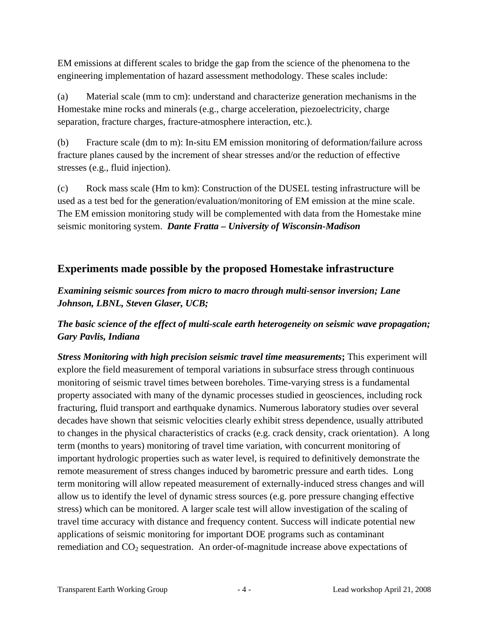EM emissions at different scales to bridge the gap from the science of the phenomena to the engineering implementation of hazard assessment methodology. These scales include:

(a) Material scale (mm to cm): understand and characterize generation mechanisms in the Homestake mine rocks and minerals (e.g., charge acceleration, piezoelectricity, charge separation, fracture charges, fracture-atmosphere interaction, etc.).

(b) Fracture scale (dm to m): In-situ EM emission monitoring of deformation/failure across fracture planes caused by the increment of shear stresses and/or the reduction of effective stresses (e.g., fluid injection).

(c) Rock mass scale (Hm to km): Construction of the DUSEL testing infrastructure will be used as a test bed for the generation/evaluation/monitoring of EM emission at the mine scale. The EM emission monitoring study will be complemented with data from the Homestake mine seismic monitoring system. *Dante Fratta – University of Wisconsin-Madison*

## **Experiments made possible by the proposed Homestake infrastructure**

### *Examining seismic sources from micro to macro through multi-sensor inversion; Lane Johnson, LBNL, Steven Glaser, UCB;*

## *The basic science of the effect of multi-scale earth heterogeneity on seismic wave propagation; Gary Pavlis, Indiana*

*Stress Monitoring with high precision seismic travel time measurements***;** This experiment will explore the field measurement of temporal variations in subsurface stress through continuous monitoring of seismic travel times between boreholes. Time-varying stress is a fundamental property associated with many of the dynamic processes studied in geosciences, including rock fracturing, fluid transport and earthquake dynamics. Numerous laboratory studies over several decades have shown that seismic velocities clearly exhibit stress dependence, usually attributed to changes in the physical characteristics of cracks (e.g. crack density, crack orientation). A long term (months to years) monitoring of travel time variation, with concurrent monitoring of important hydrologic properties such as water level, is required to definitively demonstrate the remote measurement of stress changes induced by barometric pressure and earth tides. Long term monitoring will allow repeated measurement of externally-induced stress changes and will allow us to identify the level of dynamic stress sources (e.g. pore pressure changing effective stress) which can be monitored. A larger scale test will allow investigation of the scaling of travel time accuracy with distance and frequency content. Success will indicate potential new applications of seismic monitoring for important DOE programs such as contaminant remediation and  $CO<sub>2</sub>$  sequestration. An order-of-magnitude increase above expectations of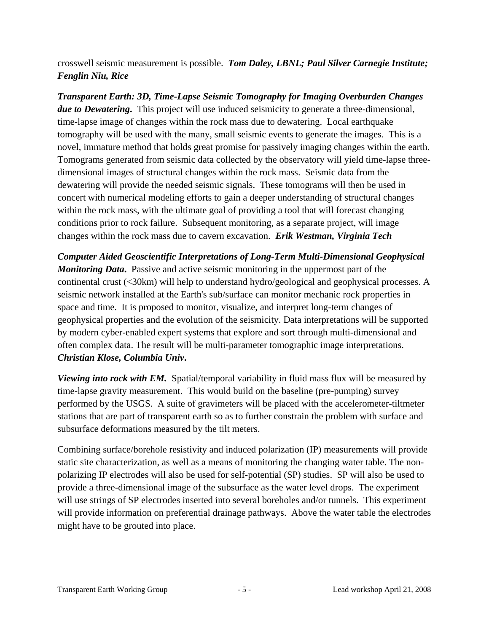crosswell seismic measurement is possible. *Tom Daley, LBNL; Paul Silver Carnegie Institute; Fenglin Niu, Rice* 

*Transparent Earth: 3D, Time-Lapse Seismic Tomography for Imaging Overburden Changes due to Dewatering***.** This project will use induced seismicity to generate a three-dimensional, time-lapse image of changes within the rock mass due to dewatering. Local earthquake tomography will be used with the many, small seismic events to generate the images. This is a novel, immature method that holds great promise for passively imaging changes within the earth. Tomograms generated from seismic data collected by the observatory will yield time-lapse threedimensional images of structural changes within the rock mass. Seismic data from the dewatering will provide the needed seismic signals. These tomograms will then be used in concert with numerical modeling efforts to gain a deeper understanding of structural changes within the rock mass, with the ultimate goal of providing a tool that will forecast changing conditions prior to rock failure. Subsequent monitoring, as a separate project, will image changes within the rock mass due to cavern excavation. *Erik Westman, Virginia Tech*

*Computer Aided Geoscientific Interpretations of Long-Term Multi-Dimensional Geophysical Monitoring Data***.** Passive and active seismic monitoring in the uppermost part of the continental crust (<30km) will help to understand hydro/geological and geophysical processes. A seismic network installed at the Earth's sub/surface can monitor mechanic rock properties in space and time. It is proposed to monitor, visualize, and interpret long-term changes of geophysical properties and the evolution of the seismicity. Data interpretations will be supported by modern cyber-enabled expert systems that explore and sort through multi-dimensional and often complex data. The result will be multi-parameter tomographic image interpretations. *Christian Klose, Columbia Univ***.**

*Viewing into rock with EM.* Spatial/temporal variability in fluid mass flux will be measured by time-lapse gravity measurement. This would build on the baseline (pre-pumping) survey performed by the USGS. A suite of gravimeters will be placed with the accelerometer-tiltmeter stations that are part of transparent earth so as to further constrain the problem with surface and subsurface deformations measured by the tilt meters.

Combining surface/borehole resistivity and induced polarization (IP) measurements will provide static site characterization, as well as a means of monitoring the changing water table. The nonpolarizing IP electrodes will also be used for self-potential (SP) studies. SP will also be used to provide a three-dimensional image of the subsurface as the water level drops. The experiment will use strings of SP electrodes inserted into several boreholes and/or tunnels. This experiment will provide information on preferential drainage pathways. Above the water table the electrodes might have to be grouted into place.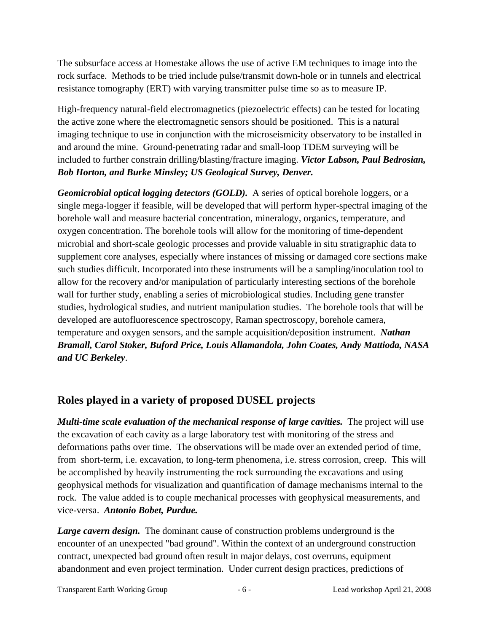The subsurface access at Homestake allows the use of active EM techniques to image into the rock surface. Methods to be tried include pulse/transmit down-hole or in tunnels and electrical resistance tomography (ERT) with varying transmitter pulse time so as to measure IP.

High-frequency natural-field electromagnetics (piezoelectric effects) can be tested for locating the active zone where the electromagnetic sensors should be positioned. This is a natural imaging technique to use in conjunction with the microseismicity observatory to be installed in and around the mine. Ground-penetrating radar and small-loop TDEM surveying will be included to further constrain drilling/blasting/fracture imaging. *Victor Labson, Paul Bedrosian, Bob Horton, and Burke Minsley; US Geological Survey, Denver.*

*Geomicrobial optical logging detectors (GOLD).* A series of optical borehole loggers, or a single mega-logger if feasible, will be developed that will perform hyper-spectral imaging of the borehole wall and measure bacterial concentration, mineralogy, organics, temperature, and oxygen concentration. The borehole tools will allow for the monitoring of time-dependent microbial and short-scale geologic processes and provide valuable in situ stratigraphic data to supplement core analyses, especially where instances of missing or damaged core sections make such studies difficult. Incorporated into these instruments will be a sampling/inoculation tool to allow for the recovery and/or manipulation of particularly interesting sections of the borehole wall for further study, enabling a series of microbiological studies. Including gene transfer studies, hydrological studies, and nutrient manipulation studies. The borehole tools that will be developed are autofluorescence spectroscopy, Raman spectroscopy, borehole camera, temperature and oxygen sensors, and the sample acquisition/deposition instrument. *Nathan Bramall, Carol Stoker, Buford Price, Louis Allamandola, John Coates, Andy Mattioda, NASA and UC Berkeley*.

# **Roles played in a variety of proposed DUSEL projects**

*Multi-time scale evaluation of the mechanical response of large cavities.* The project will use the excavation of each cavity as a large laboratory test with monitoring of the stress and deformations paths over time. The observations will be made over an extended period of time, from short-term, i.e. excavation, to long-term phenomena, i.e. stress corrosion, creep. This will be accomplished by heavily instrumenting the rock surrounding the excavations and using geophysical methods for visualization and quantification of damage mechanisms internal to the rock. The value added is to couple mechanical processes with geophysical measurements, and vice-versa. *Antonio Bobet, Purdue.* 

*Large cavern design.* The dominant cause of construction problems underground is the encounter of an unexpected "bad ground". Within the context of an underground construction contract, unexpected bad ground often result in major delays, cost overruns, equipment abandonment and even project termination. Under current design practices, predictions of

Transparent Earth Working Group - 6 - Lead workshop April 21, 2008